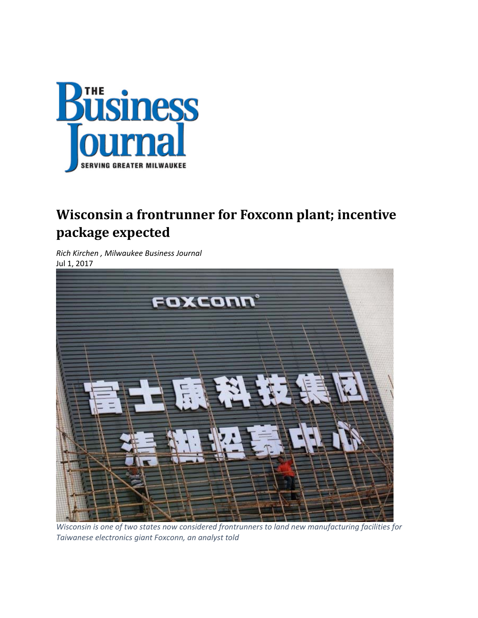

## **Wisconsin a frontrunner for Foxconn plant; incentive package expected**

*Rich Kirchen , Milwaukee Business Journal*  Jul 1, 2017



*Wisconsin is one of two states now considered frontrunners to land new manufacturing facilities for Taiwanese electronics giant Foxconn, an analyst told*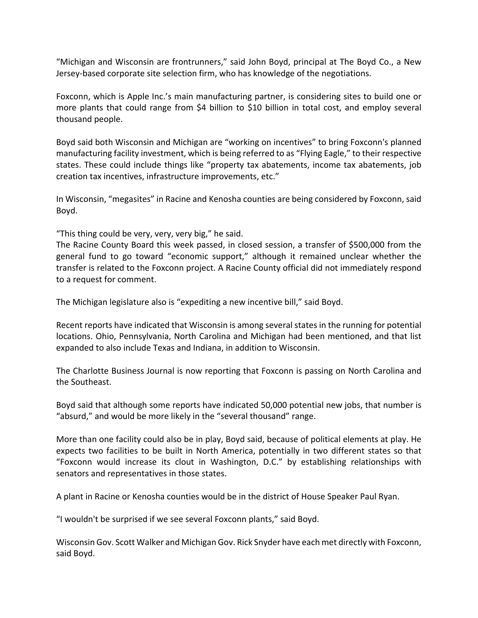"Michigan and Wisconsin are frontrunners," said John Boyd, principal at The Boyd Co., a New Jersey‐based corporate site selection firm, who has knowledge of the negotiations.

Foxconn, which is Apple Inc.'s main manufacturing partner, is considering sites to build one or more plants that could range from \$4 billion to \$10 billion in total cost, and employ several thousand people.

Boyd said both Wisconsin and Michigan are "working on incentives" to bring Foxconn's planned manufacturing facility investment, which is being referred to as "Flying Eagle," to their respective states. These could include things like "property tax abatements, income tax abatements, job creation tax incentives, infrastructure improvements, etc."

In Wisconsin, "megasites" in Racine and Kenosha counties are being considered by Foxconn, said Boyd.

"This thing could be very, very, very big," he said.

The Racine County Board this week passed, in closed session, a transfer of \$500,000 from the general fund to go toward "economic support," although it remained unclear whether the transfer is related to the Foxconn project. A Racine County official did not immediately respond to a request for comment.

The Michigan legislature also is "expediting a new incentive bill," said Boyd.

Recent reports have indicated that Wisconsin is among several states in the running for potential locations. Ohio, Pennsylvania, North Carolina and Michigan had been mentioned, and that list expanded to also include Texas and Indiana, in addition to Wisconsin.

The Charlotte Business Journal is now reporting that Foxconn is passing on North Carolina and the Southeast.

Boyd said that although some reports have indicated 50,000 potential new jobs, that number is "absurd," and would be more likely in the "several thousand" range.

More than one facility could also be in play, Boyd said, because of political elements at play. He expects two facilities to be built in North America, potentially in two different states so that "Foxconn would increase its clout in Washington, D.C." by establishing relationships with senators and representatives in those states.

A plant in Racine or Kenosha counties would be in the district of House Speaker Paul Ryan.

"I wouldn't be surprised if we see several Foxconn plants," said Boyd.

Wisconsin Gov. Scott Walker and Michigan Gov. Rick Snyder have each met directly with Foxconn, said Boyd.